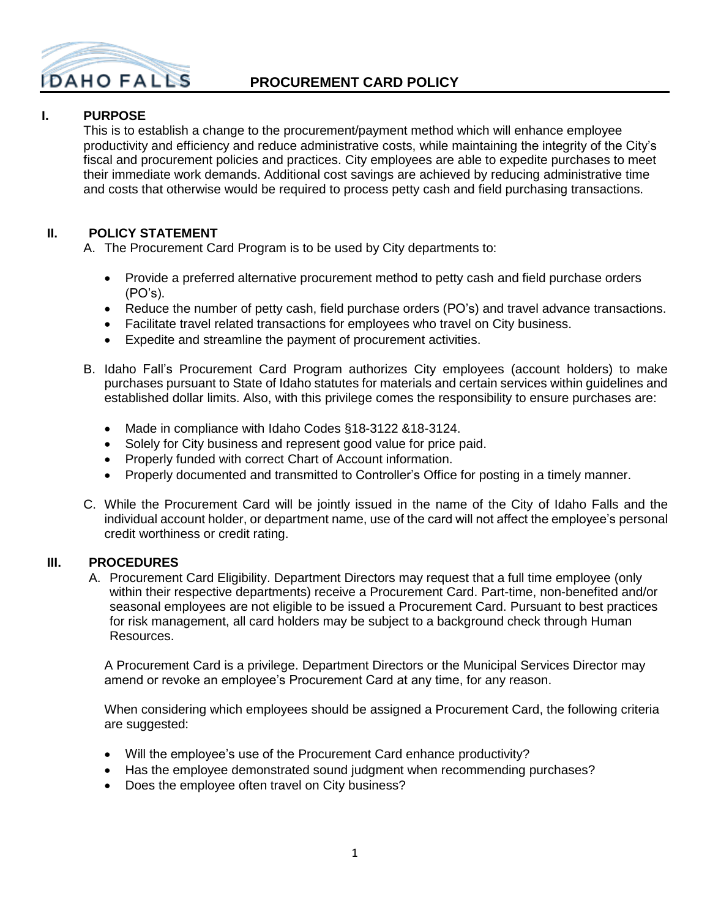

## **PROCUREMENT CARD POLICY**

## **I. PURPOSE**

This is to establish a change to the procurement/payment method which will enhance employee productivity and efficiency and reduce administrative costs, while maintaining the integrity of the City's fiscal and procurement policies and practices. City employees are able to expedite purchases to meet their immediate work demands. Additional cost savings are achieved by reducing administrative time and costs that otherwise would be required to process petty cash and field purchasing transactions.

## **II. POLICY STATEMENT**

A. The Procurement Card Program is to be used by City departments to:

- Provide a preferred alternative procurement method to petty cash and field purchase orders (PO's).
- Reduce the number of petty cash, field purchase orders (PO's) and travel advance transactions.
- Facilitate travel related transactions for employees who travel on City business.
- Expedite and streamline the payment of procurement activities.
- B. Idaho Fall's Procurement Card Program authorizes City employees (account holders) to make purchases pursuant to State of Idaho statutes for materials and certain services within guidelines and established dollar limits. Also, with this privilege comes the responsibility to ensure purchases are:
	- Made in compliance with Idaho Codes §18-3122 &18-3124.
	- Solely for City business and represent good value for price paid.
	- Properly funded with correct Chart of Account information.
	- Properly documented and transmitted to Controller's Office for posting in a timely manner.
- C. While the Procurement Card will be jointly issued in the name of the City of Idaho Falls and the individual account holder, or department name, use of the card will not affect the employee's personal credit worthiness or credit rating.

#### **III. PROCEDURES**

A. Procurement Card Eligibility. Department Directors may request that a full time employee (only within their respective departments) receive a Procurement Card. Part-time, non-benefited and/or seasonal employees are not eligible to be issued a Procurement Card. Pursuant to best practices for risk management, all card holders may be subject to a background check through Human Resources.

A Procurement Card is a privilege. Department Directors or the Municipal Services Director may amend or revoke an employee's Procurement Card at any time, for any reason.

When considering which employees should be assigned a Procurement Card, the following criteria are suggested:

- Will the employee's use of the Procurement Card enhance productivity?
- Has the employee demonstrated sound judgment when recommending purchases?
- Does the employee often travel on City business?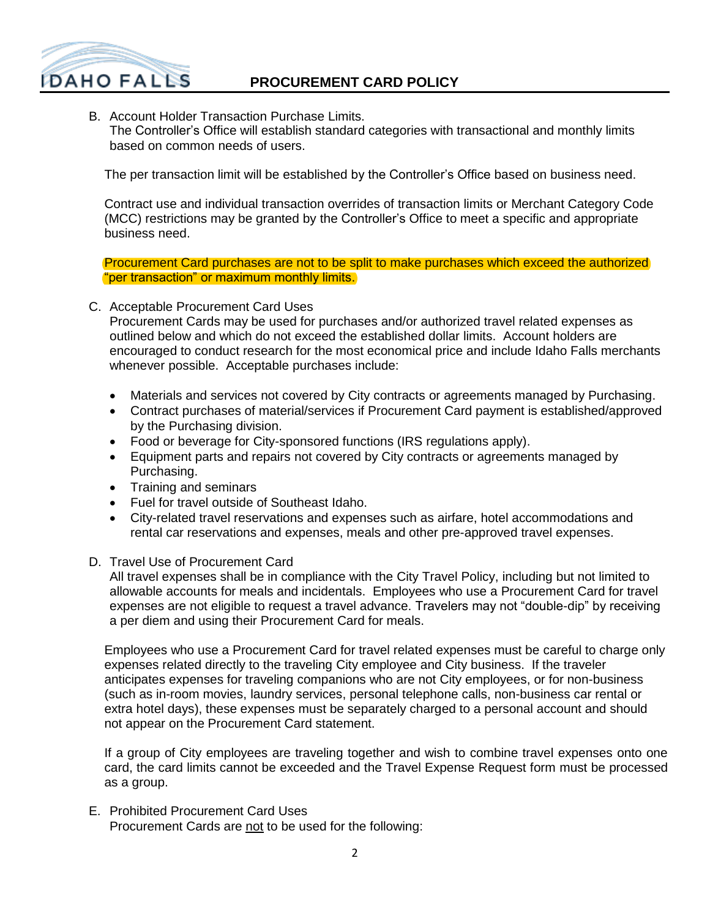

B. Account Holder Transaction Purchase Limits. The Controller's Office will establish standard categories with transactional and monthly limits based on common needs of users.

The per transaction limit will be established by the Controller's Office based on business need.

Contract use and individual transaction overrides of transaction limits or Merchant Category Code (MCC) restrictions may be granted by the Controller's Office to meet a specific and appropriate business need.

Procurement Card purchases are not to be split to make purchases which exceed the authorized "per transaction" or maximum monthly limits.

C. Acceptable Procurement Card Uses

Procurement Cards may be used for purchases and/or authorized travel related expenses as outlined below and which do not exceed the established dollar limits. Account holders are encouraged to conduct research for the most economical price and include Idaho Falls merchants whenever possible. Acceptable purchases include:

- Materials and services not covered by City contracts or agreements managed by Purchasing.
- Contract purchases of material/services if Procurement Card payment is established/approved by the Purchasing division.
- Food or beverage for City-sponsored functions (IRS regulations apply).
- Equipment parts and repairs not covered by City contracts or agreements managed by Purchasing.
- Training and seminars
- Fuel for travel outside of Southeast Idaho.
- City-related travel reservations and expenses such as airfare, hotel accommodations and rental car reservations and expenses, meals and other pre-approved travel expenses.

#### D. Travel Use of Procurement Card

All travel expenses shall be in compliance with the City Travel Policy, including but not limited to allowable accounts for meals and incidentals. Employees who use a Procurement Card for travel expenses are not eligible to request a travel advance. Travelers may not "double-dip" by receiving a per diem and using their Procurement Card for meals.

Employees who use a Procurement Card for travel related expenses must be careful to charge only expenses related directly to the traveling City employee and City business. If the traveler anticipates expenses for traveling companions who are not City employees, or for non-business (such as in-room movies, laundry services, personal telephone calls, non-business car rental or extra hotel days), these expenses must be separately charged to a personal account and should not appear on the Procurement Card statement.

If a group of City employees are traveling together and wish to combine travel expenses onto one card, the card limits cannot be exceeded and the Travel Expense Request form must be processed as a group.

E. Prohibited Procurement Card Uses Procurement Cards are not to be used for the following: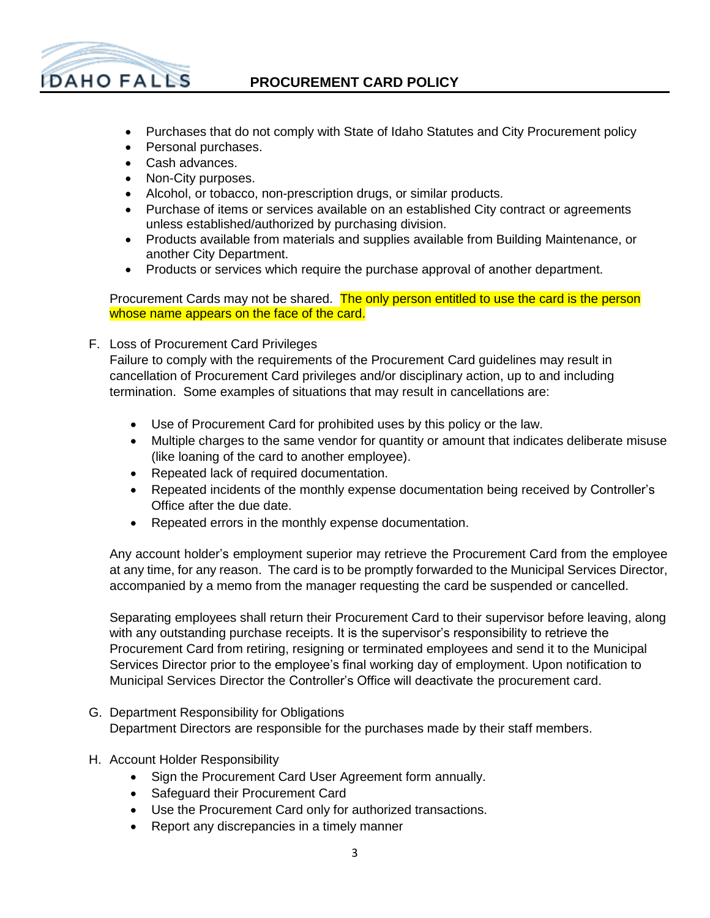

## **PROCUREMENT CARD POLICY**

- Purchases that do not comply with State of Idaho Statutes and City Procurement policy
- Personal purchases.
- Cash advances.
- Non-City purposes.
- Alcohol, or tobacco, non-prescription drugs, or similar products.
- Purchase of items or services available on an established City contract or agreements unless established/authorized by purchasing division.
- Products available from materials and supplies available from Building Maintenance, or another City Department.
- Products or services which require the purchase approval of another department.

Procurement Cards may not be shared. The only person entitled to use the card is the person whose name appears on the face of the card.

F. Loss of Procurement Card Privileges

Failure to comply with the requirements of the Procurement Card guidelines may result in cancellation of Procurement Card privileges and/or disciplinary action, up to and including termination. Some examples of situations that may result in cancellations are:

- Use of Procurement Card for prohibited uses by this policy or the law.
- Multiple charges to the same vendor for quantity or amount that indicates deliberate misuse (like loaning of the card to another employee).
- Repeated lack of required documentation.
- Repeated incidents of the monthly expense documentation being received by Controller's Office after the due date.
- Repeated errors in the monthly expense documentation.

Any account holder's employment superior may retrieve the Procurement Card from the employee at any time, for any reason. The card is to be promptly forwarded to the Municipal Services Director, accompanied by a memo from the manager requesting the card be suspended or cancelled.

Separating employees shall return their Procurement Card to their supervisor before leaving, along with any outstanding purchase receipts. It is the supervisor's responsibility to retrieve the Procurement Card from retiring, resigning or terminated employees and send it to the Municipal Services Director prior to the employee's final working day of employment. Upon notification to Municipal Services Director the Controller's Office will deactivate the procurement card.

- G. Department Responsibility for Obligations Department Directors are responsible for the purchases made by their staff members.
- H. Account Holder Responsibility
	- Sign the Procurement Card User Agreement form annually.
	- Safeguard their Procurement Card
	- Use the Procurement Card only for authorized transactions.
	- Report any discrepancies in a timely manner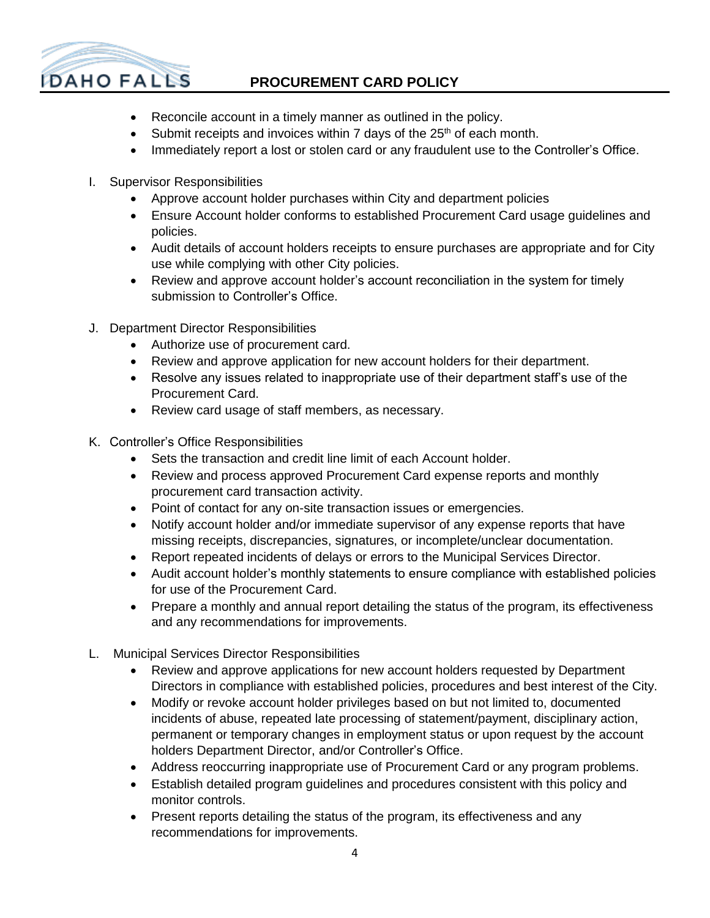

# **PROCUREMENT CARD POLICY**

- Reconcile account in a timely manner as outlined in the policy.
- $\bullet$  Submit receipts and invoices within 7 days of the 25<sup>th</sup> of each month.
- Immediately report a lost or stolen card or any fraudulent use to the Controller's Office.
- I. Supervisor Responsibilities
	- Approve account holder purchases within City and department policies
	- Ensure Account holder conforms to established Procurement Card usage guidelines and policies.
	- Audit details of account holders receipts to ensure purchases are appropriate and for City use while complying with other City policies.
	- Review and approve account holder's account reconciliation in the system for timely submission to Controller's Office.
- J. Department Director Responsibilities
	- Authorize use of procurement card.
	- Review and approve application for new account holders for their department.
	- Resolve any issues related to inappropriate use of their department staff's use of the Procurement Card.
	- Review card usage of staff members, as necessary.
- K. Controller's Office Responsibilities
	- Sets the transaction and credit line limit of each Account holder.
	- Review and process approved Procurement Card expense reports and monthly procurement card transaction activity.
	- Point of contact for any on-site transaction issues or emergencies.
	- Notify account holder and/or immediate supervisor of any expense reports that have missing receipts, discrepancies, signatures, or incomplete/unclear documentation.
	- Report repeated incidents of delays or errors to the Municipal Services Director.
	- Audit account holder's monthly statements to ensure compliance with established policies for use of the Procurement Card.
	- Prepare a monthly and annual report detailing the status of the program, its effectiveness and any recommendations for improvements.
- L. Municipal Services Director Responsibilities
	- Review and approve applications for new account holders requested by Department Directors in compliance with established policies, procedures and best interest of the City.
	- Modify or revoke account holder privileges based on but not limited to, documented incidents of abuse, repeated late processing of statement/payment, disciplinary action, permanent or temporary changes in employment status or upon request by the account holders Department Director, and/or Controller's Office.
	- Address reoccurring inappropriate use of Procurement Card or any program problems.
	- Establish detailed program guidelines and procedures consistent with this policy and monitor controls.
	- Present reports detailing the status of the program, its effectiveness and any recommendations for improvements.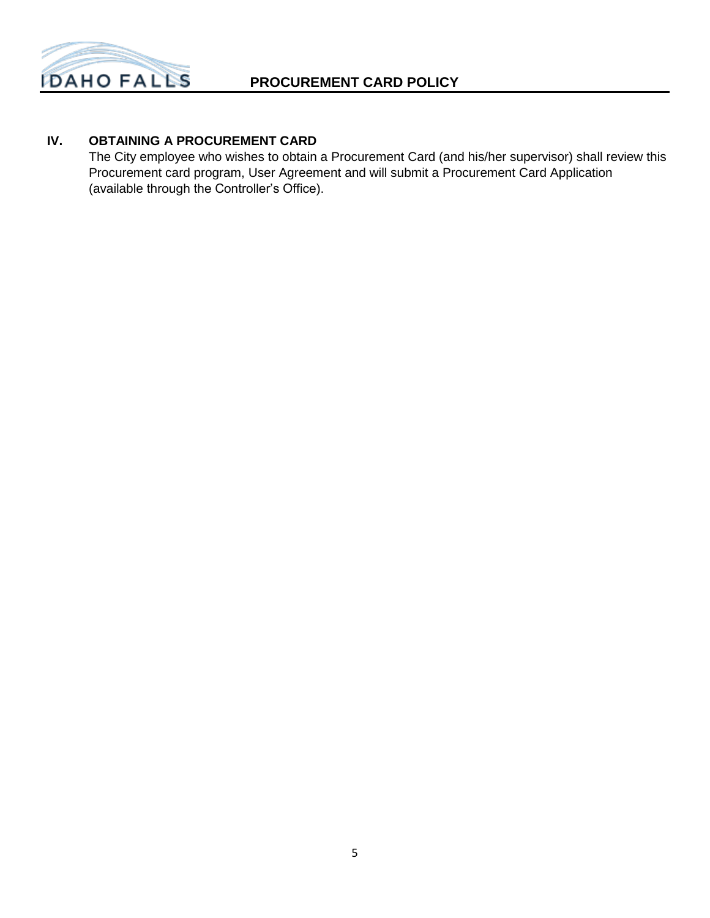

## **IV. OBTAINING A PROCUREMENT CARD**

The City employee who wishes to obtain a Procurement Card (and his/her supervisor) shall review this Procurement card program, User Agreement and will submit a Procurement Card Application (available through the Controller's Office).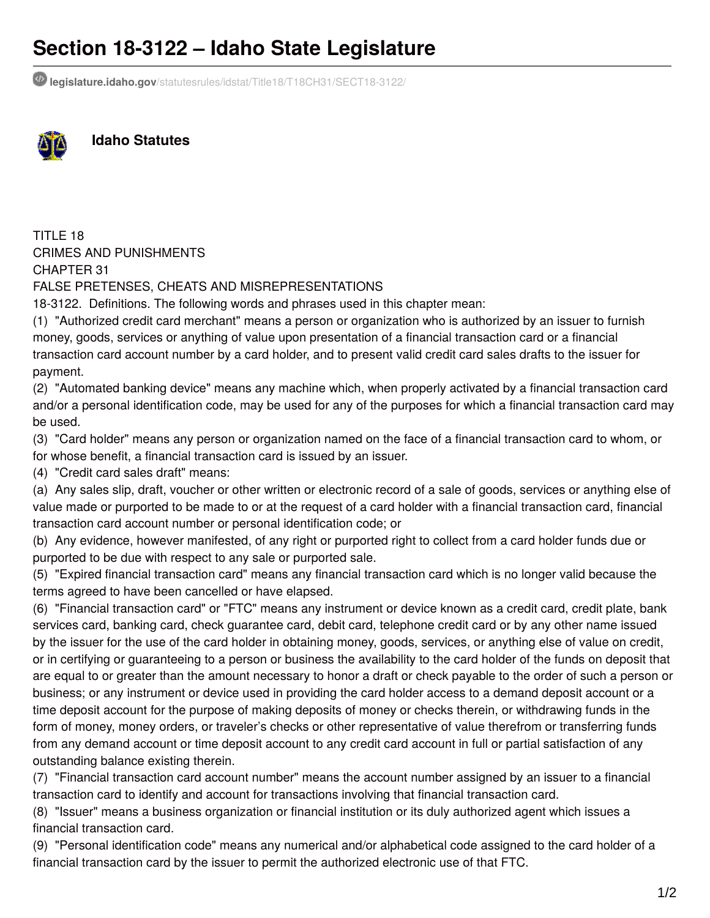# **Section 18-3122 – Idaho State Legislature**

**legislature.idaho.gov**[/statutesrules/idstat/Title18/T18CH31/SECT18-3122/](https://legislature.idaho.gov/statutesrules/idstat/Title18/T18CH31/SECT18-3122/)



**Idaho Statutes**

TITLE 18 CRIMES AND PUNISHMENTS CHAPTER 31

FALSE PRETENSES, CHEATS AND MISREPRESENTATIONS

18-3122. Definitions. The following words and phrases used in this chapter mean:

(1) "Authorized credit card merchant" means a person or organization who is authorized by an issuer to furnish money, goods, services or anything of value upon presentation of a financial transaction card or a financial transaction card account number by a card holder, and to present valid credit card sales drafts to the issuer for payment.

(2) "Automated banking device" means any machine which, when properly activated by a financial transaction card and/or a personal identification code, may be used for any of the purposes for which a financial transaction card may be used.

(3) "Card holder" means any person or organization named on the face of a financial transaction card to whom, or

for whose benefit, a financial transaction card is issued by an issuer.

(4) "Credit card sales draft" means:

(a) Any sales slip, draft, voucher or other written or electronic record of a sale of goods, services or anything else of value made or purported to be made to or at the request of a card holder with a financial transaction card, financial transaction card account number or personal identification code; or

(b) Any evidence, however manifested, of any right or purported right to collect from a card holder funds due or purported to be due with respect to any sale or purported sale.

(5) "Expired financial transaction card" means any financial transaction card which is no longer valid because the terms agreed to have been cancelled or have elapsed.

(6) "Financial transaction card" or "FTC" means any instrument or device known as a credit card, credit plate, bank services card, banking card, check guarantee card, debit card, telephone credit card or by any other name issued by the issuer for the use of the card holder in obtaining money, goods, services, or anything else of value on credit, or in certifying or guaranteeing to a person or business the availability to the card holder of the funds on deposit that are equal to or greater than the amount necessary to honor a draft or check payable to the order of such a person or business; or any instrument or device used in providing the card holder access to a demand deposit account or a time deposit account for the purpose of making deposits of money or checks therein, or withdrawing funds in the form of money, money orders, or traveler's checks or other representative of value therefrom or transferring funds from any demand account or time deposit account to any credit card account in full or partial satisfaction of any outstanding balance existing therein.

(7) "Financial transaction card account number" means the account number assigned by an issuer to a financial transaction card to identify and account for transactions involving that financial transaction card.

(8) "Issuer" means a business organization or financial institution or its duly authorized agent which issues a financial transaction card.

(9) "Personal identification code" means any numerical and/or alphabetical code assigned to the card holder of a financial transaction card by the issuer to permit the authorized electronic use of that FTC.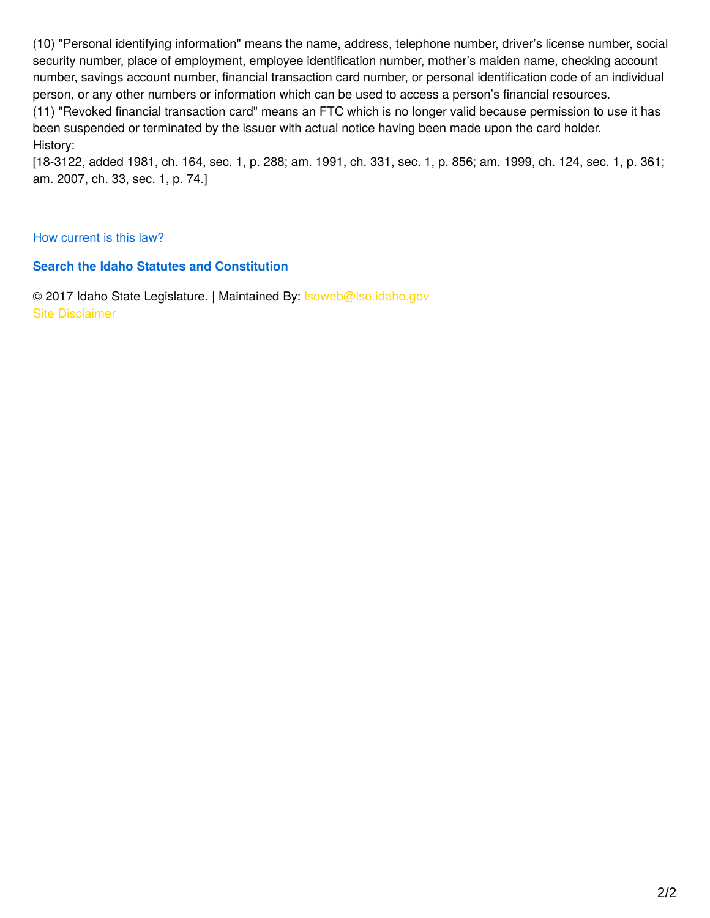(10) "Personal identifying information" means the name, address, telephone number, driver's license number, social security number, place of employment, employee identification number, mother's maiden name, checking account number, savings account number, financial transaction card number, or personal identification code of an individual person, or any other numbers or information which can be used to access a person's financial resources.

(11) "Revoked financial transaction card" means an FTC which is no longer valid because permission to use it has been suspended or terminated by the issuer with actual notice having been made upon the card holder. History:

[18-3122, added 1981, ch. 164, sec. 1, p. 288; am. 1991, ch. 331, sec. 1, p. 856; am. 1999, ch. 124, sec. 1, p. 361; am. 2007, ch. 33, sec. 1, p. 74.]

### How [current](https://legislature.idaho.gov/statutesrules/howcurrentisthislaw) is this law?

### **Search the Idaho Statutes and [Constitution](https://legislature.idaho.gov/search-results/)**

© 2017 Idaho State Legislature. | Maintained By: Isoweb@lso.idaho.gov Site [Disclaimer](https://legislature.idaho.gov/site-disclaimer)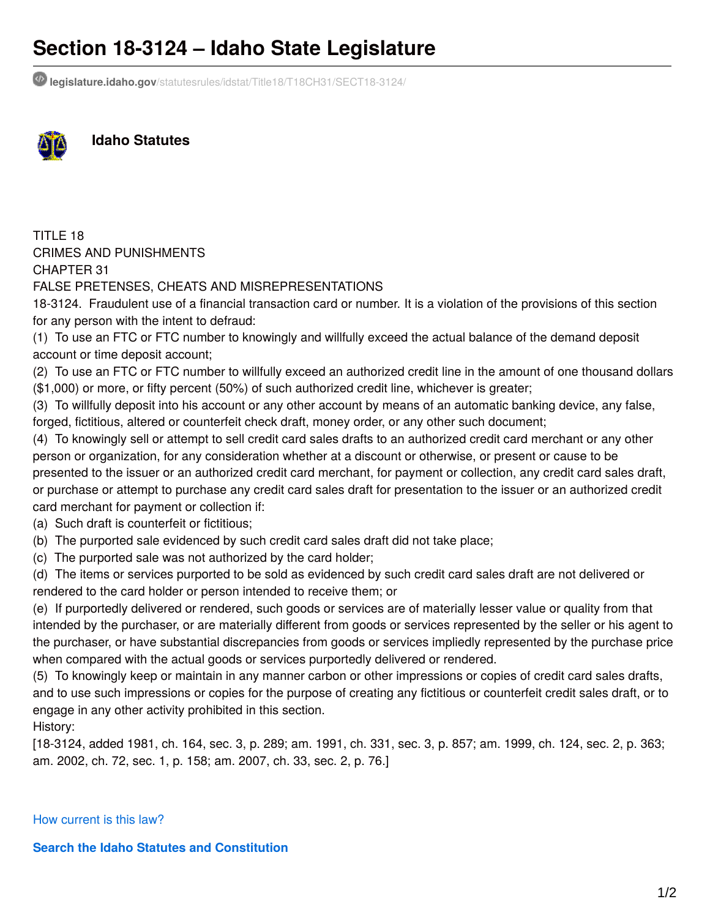# **Section 18-3124 – Idaho State Legislature**

**legislature.idaho.gov**[/statutesrules/idstat/Title18/T18CH31/SECT18-3124/](https://legislature.idaho.gov/statutesrules/idstat/Title18/T18CH31/SECT18-3124/)



**Idaho Statutes**

TITLE 18 CRIMES AND PUNISHMENTS CHAPTER 31

FALSE PRETENSES, CHEATS AND MISREPRESENTATIONS

18-3124. Fraudulent use of a financial transaction card or number. It is a violation of the provisions of this section for any person with the intent to defraud:

(1) To use an FTC or FTC number to knowingly and willfully exceed the actual balance of the demand deposit account or time deposit account;

(2) To use an FTC or FTC number to willfully exceed an authorized credit line in the amount of one thousand dollars (\$1,000) or more, or fifty percent (50%) of such authorized credit line, whichever is greater;

(3) To willfully deposit into his account or any other account by means of an automatic banking device, any false, forged, fictitious, altered or counterfeit check draft, money order, or any other such document;

(4) To knowingly sell or attempt to sell credit card sales drafts to an authorized credit card merchant or any other person or organization, for any consideration whether at a discount or otherwise, or present or cause to be presented to the issuer or an authorized credit card merchant, for payment or collection, any credit card sales draft, or purchase or attempt to purchase any credit card sales draft for presentation to the issuer or an authorized credit card merchant for payment or collection if:

(a) Such draft is counterfeit or fictitious;

(b) The purported sale evidenced by such credit card sales draft did not take place;

(c) The purported sale was not authorized by the card holder;

(d) The items or services purported to be sold as evidenced by such credit card sales draft are not delivered or rendered to the card holder or person intended to receive them; or

(e) If purportedly delivered or rendered, such goods or services are of materially lesser value or quality from that intended by the purchaser, or are materially different from goods or services represented by the seller or his agent to the purchaser, or have substantial discrepancies from goods or services impliedly represented by the purchase price when compared with the actual goods or services purportedly delivered or rendered.

(5) To knowingly keep or maintain in any manner carbon or other impressions or copies of credit card sales drafts, and to use such impressions or copies for the purpose of creating any fictitious or counterfeit credit sales draft, or to engage in any other activity prohibited in this section.

History:

[18-3124, added 1981, ch. 164, sec. 3, p. 289; am. 1991, ch. 331, sec. 3, p. 857; am. 1999, ch. 124, sec. 2, p. 363; am. 2002, ch. 72, sec. 1, p. 158; am. 2007, ch. 33, sec. 2, p. 76.]

How [current](https://legislature.idaho.gov/statutesrules/howcurrentisthislaw) is this law?

**Search the Idaho Statutes and [Constitution](https://legislature.idaho.gov/search-results/)**